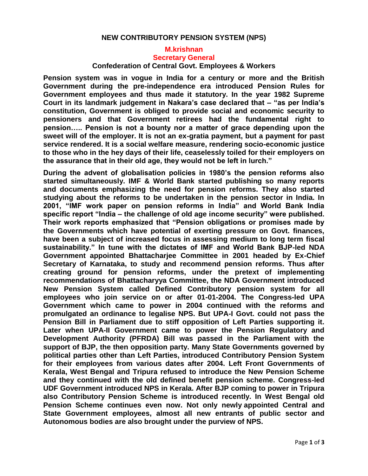## **NEW CONTRIBUTORY PENSION SYSTEM (NPS)**

## **M.krishnan Secretary General**

**Confederation of Central Govt. Employees & Workers**

**Pension system was in vogue in India for a century or more and the British Government during the pre-independence era introduced Pension Rules for Government employees and thus made it statutory. In the year 1982 Supreme Court in its landmark judgement in Nakara's case declared that – "as per India's constitution, Government is obliged to provide social and economic security to pensioners and that Government retirees had the fundamental right to pension….. Pension is not a bounty nor a matter of grace depending upon the sweet will of the employer. It is not an ex-gratia payment, but a payment for past service rendered. It is a social welfare measure, rendering socio-economic justice to those who in the hey days of their life, ceaselessly toiled for their employers on the assurance that in their old age, they would not be left in lurch."**

**During the advent of globalisation policies in 1980's the pension reforms also started simultaneously. IMF & World Bank started publishing so many reports and documents emphasizing the need for pension reforms. They also started studying about the reforms to be undertaken in the pension sector in India. In 2001, "IMF work paper on pension reforms in India" and World Bank India specific report "India – the challenge of old age income security" were published. Their work reports emphasized that "Pension obligations or promises made by the Governments which have potential of exerting pressure on Govt. finances, have been a subject of increased focus in assessing medium to long term fiscal sustainability." In tune with the dictates of IMF and World Bank BJP-led NDA Government appointed Bhattacharjee Committee in 2001 headed by Ex-Chief Secretary of Karnataka, to study and recommend pension reforms. Thus after creating ground for pension reforms, under the pretext of implementing recommendations of Bhattacharyya Committee, the NDA Government introduced New Pension System called Defined Contributory pension system for all employees who join service on or after 01-01-2004. The Congress-led UPA Government which came to power in 2004 continued with the reforms and promulgated an ordinance to legalise NPS. But UPA-I Govt. could not pass the Pension Bill in Parliament due to stiff opposition of Left Parties supporting it. Later when UPA-II Government came to power the Pension Regulatory and Development Authority (PFRDA) Bill was passed in the Parliament with the support of BJP, the then opposition party. Many State Governments governed by political parties other than Left Parties, introduced Contributory Pension System for their employees from various dates after 2004. Left Front Governments of Kerala, West Bengal and Tripura refused to introduce the New Pension Scheme and they continued with the old defined benefit pension scheme. Congress-led UDF Government introduced NPS in Kerala. After BJP coming to power in Tripura also Contributory Pension Scheme is introduced recently. In West Bengal old Pension Scheme continues even now. Not only newly appointed Central and State Government employees, almost all new entrants of public sector and Autonomous bodies are also brought under the purview of NPS.**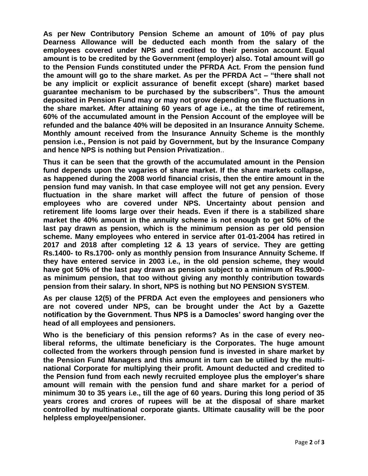**As per New Contributory Pension Scheme an amount of 10% of pay plus Dearness Allowance will be deducted each month from the salary of the employees covered under NPS and credited to their pension account**. **Equal amount is to be credited by the Government (employer) also. Total amount will go to the Pension Funds constituted under the PFRDA Act. From the pension fund the amount will go to the share market. As per the PFRDA Act – "there shall not be any implicit or explicit assurance of benefit except (share) market based guarantee mechanism to be purchased by the subscribers". Thus the amount deposited in Pension Fund may or may not grow depending on the fluctuations in the share market. After attaining 60 years of age i.e., at the time of retirement, 60% of the accumulated amount in the Pension Account of the employee will be refunded and the balance 40% will be deposited in an Insurance Annuity Scheme. Monthly amount received from the Insurance Annuity Scheme is the monthly pension i.e., Pension is not paid by Government, but by the Insurance Company and hence NPS is nothing but Pension Privatization**..

**Thus it can be seen that the growth of the accumulated amount in the Pension fund depends upon the vagaries of share market. If the share markets collapse, as happened during the 2008 world financial crisis, then the entire amount in the pension fund may vanish. In that case employee will not get any pension. Every fluctuation in the share market will affect the future of pension of those employees who are covered under NPS. Uncertainty about pension and retirement life looms large over their heads. Even if there is a stabilized share market the 40% amount in the annuity scheme is not enough to get 50% of the last pay drawn as pension, which is the minimum pension as per old pension scheme. Many employees who entered in service after 01-01-2004 has retired in 2017 and 2018 after completing 12 & 13 years of service. They are getting Rs.1400- to Rs.1700- only as monthly pension from Insurance Annuity Scheme. If they have entered service in 2003 i.e., in the old pension scheme, they would have got 50% of the last pay drawn as pension subject to a minimum of Rs.9000 as minimum pension, that too without giving any monthly contribution towards pension from their salary. In short, NPS is nothing but NO PENSION SYSTEM**.

**As per clause 12(5) of the PFRDA Act even the employees and pensioners who are not covered under NPS, can be brought under the Act by a Gazette notification by the Government. Thus NPS is a Damocles' sword hanging over the head of all employees and pensioners.**

**Who is the beneficiary of this pension reforms? As in the case of every neoliberal reforms, the ultimate beneficiary is the Corporates. The huge amount collected from the workers through pension fund is invested in share market by the Pension Fund Managers and this amount in turn can be utilied by the multinational Corporate for multiplying their profit. Amount deducted and credited to the Pension fund from each newly recruited employee plus the employer's share amount will remain with the pension fund and share market for a period of minimum 30 to 35 years i.e., till the age of 60 years. During this long period of 35 years crores and crores of rupees will be at the disposal of share market controlled by multinational corporate giants. Ultimate causality will be the poor helpless employee/pensioner.**